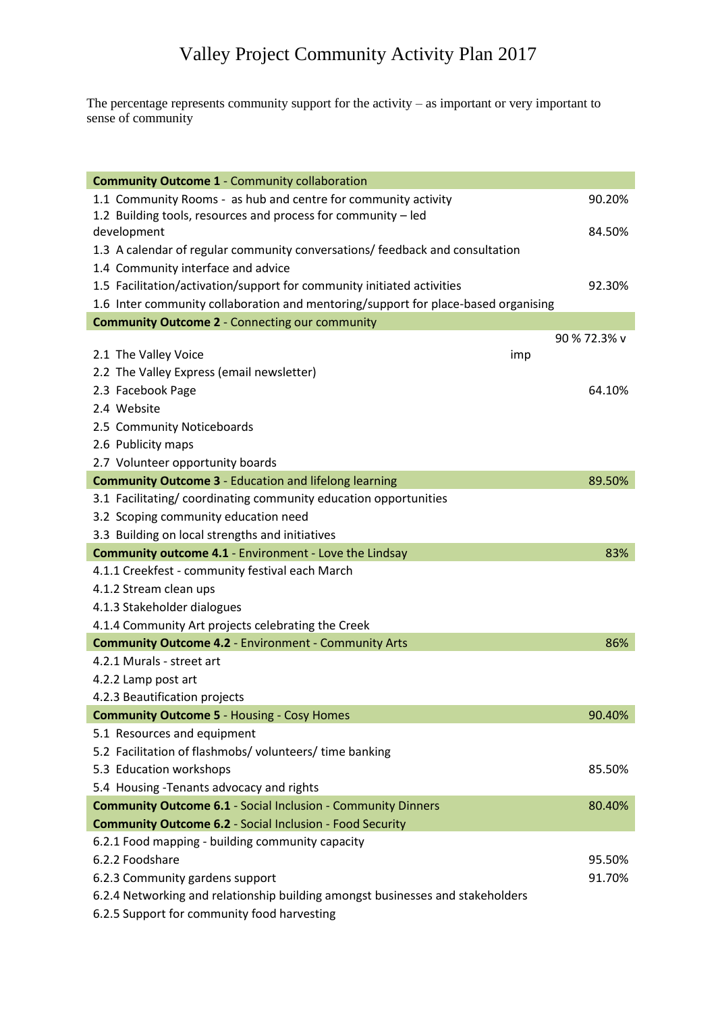The percentage represents community support for the activity – as important or very important to sense of community

| <b>Community Outcome 1 - Community collaboration</b>                               |     |              |
|------------------------------------------------------------------------------------|-----|--------------|
| 1.1 Community Rooms - as hub and centre for community activity                     |     | 90.20%       |
| 1.2 Building tools, resources and process for community - led                      |     |              |
| development                                                                        |     | 84.50%       |
| 1.3 A calendar of regular community conversations/ feedback and consultation       |     |              |
| 1.4 Community interface and advice                                                 |     |              |
| 1.5 Facilitation/activation/support for community initiated activities             |     | 92.30%       |
| 1.6 Inter community collaboration and mentoring/support for place-based organising |     |              |
| <b>Community Outcome 2 - Connecting our community</b>                              |     |              |
|                                                                                    |     | 90 % 72.3% v |
| 2.1 The Valley Voice                                                               | imp |              |
| 2.2 The Valley Express (email newsletter)                                          |     |              |
| 2.3 Facebook Page                                                                  |     | 64.10%       |
| 2.4 Website                                                                        |     |              |
| 2.5 Community Noticeboards                                                         |     |              |
| 2.6 Publicity maps                                                                 |     |              |
| 2.7 Volunteer opportunity boards                                                   |     |              |
| <b>Community Outcome 3 - Education and lifelong learning</b>                       |     | 89.50%       |
| 3.1 Facilitating/ coordinating community education opportunities                   |     |              |
| 3.2 Scoping community education need                                               |     |              |
| 3.3 Building on local strengths and initiatives                                    |     |              |
| <b>Community outcome 4.1</b> - Environment - Love the Lindsay                      |     | 83%          |
| 4.1.1 Creekfest - community festival each March                                    |     |              |
| 4.1.2 Stream clean ups                                                             |     |              |
| 4.1.3 Stakeholder dialogues                                                        |     |              |
| 4.1.4 Community Art projects celebrating the Creek                                 |     |              |
| <b>Community Outcome 4.2 - Environment - Community Arts</b>                        |     | 86%          |
| 4.2.1 Murals - street art                                                          |     |              |
| 4.2.2 Lamp post art                                                                |     |              |
| 4.2.3 Beautification projects                                                      |     |              |
| <b>Community Outcome 5 - Housing - Cosy Homes</b>                                  |     | 90.40%       |
| 5.1 Resources and equipment                                                        |     |              |
| 5.2 Facilitation of flashmobs/ volunteers/ time banking                            |     |              |
| 5.3 Education workshops                                                            |     | 85.50%       |
| 5.4 Housing - Tenants advocacy and rights                                          |     |              |
| <b>Community Outcome 6.1</b> - Social Inclusion - Community Dinners                |     | 80.40%       |
| <b>Community Outcome 6.2 - Social Inclusion - Food Security</b>                    |     |              |
| 6.2.1 Food mapping - building community capacity                                   |     |              |
| 6.2.2 Foodshare                                                                    |     | 95.50%       |
| 6.2.3 Community gardens support                                                    |     | 91.70%       |
| 6.2.4 Networking and relationship building amongst businesses and stakeholders     |     |              |
| 6.2.5 Support for community food harvesting                                        |     |              |